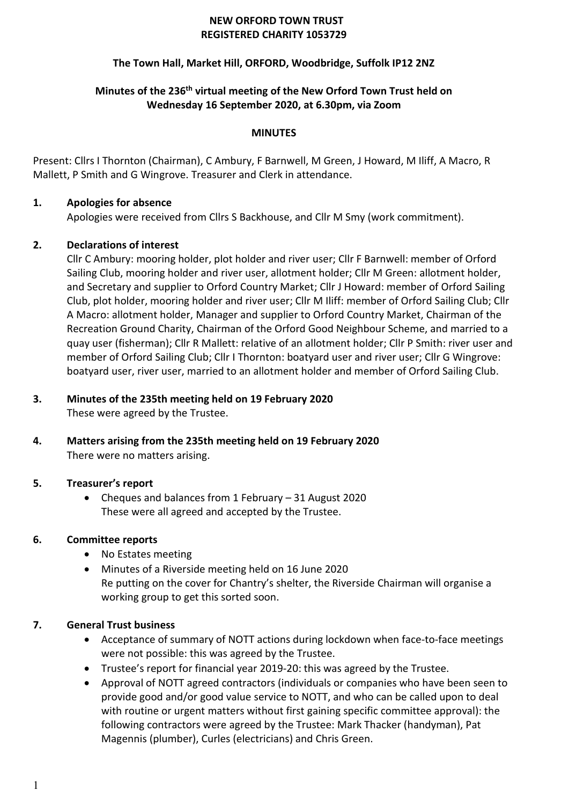### **NEW ORFORD TOWN TRUST REGISTERED CHARITY 1053729**

### **The Town Hall, Market Hill, ORFORD, Woodbridge, Suffolk IP12 2NZ**

## **Minutes of the 236 th virtual meeting of the New Orford Town Trust held on Wednesday 16 September 2020, at 6.30pm, via Zoom**

### **MINUTES**

Present: Cllrs I Thornton (Chairman), C Ambury, F Barnwell, M Green, J Howard, M Iliff, A Macro, R Mallett, P Smith and G Wingrove. Treasurer and Clerk in attendance.

### **1. Apologies for absence**

Apologies were received from Cllrs S Backhouse, and Cllr M Smy (work commitment).

### **2. Declarations of interest**

Cllr C Ambury: mooring holder, plot holder and river user; Cllr F Barnwell: member of Orford Sailing Club, mooring holder and river user, allotment holder; Cllr M Green: allotment holder, and Secretary and supplier to Orford Country Market; Cllr J Howard: member of Orford Sailing Club, plot holder, mooring holder and river user; Cllr M Iliff: member of Orford Sailing Club; Cllr A Macro: allotment holder, Manager and supplier to Orford Country Market, Chairman of the Recreation Ground Charity, Chairman of the Orford Good Neighbour Scheme, and married to a quay user (fisherman); Cllr R Mallett: relative of an allotment holder; Cllr P Smith: river user and member of Orford Sailing Club; Cllr I Thornton: boatyard user and river user; Cllr G Wingrove: boatyard user, river user, married to an allotment holder and member of Orford Sailing Club.

#### **3. Minutes of the 235th meeting held on 19 February 2020** These were agreed by the Trustee.

**4. Matters arising from the 235th meeting held on 19 February 2020** There were no matters arising.

### **5. Treasurer's report**

• Cheques and balances from 1 February – 31 August 2020 These were all agreed and accepted by the Trustee.

### **6. Committee reports**

- No Estates meeting
- Minutes of a Riverside meeting held on 16 June 2020 Re putting on the cover for Chantry's shelter, the Riverside Chairman will organise a working group to get this sorted soon.

### **7. General Trust business**

- Acceptance of summary of NOTT actions during lockdown when face-to-face meetings were not possible: this was agreed by the Trustee.
- Trustee's report for financial year 2019-20: this was agreed by the Trustee.
- Approval of NOTT agreed contractors (individuals or companies who have been seen to provide good and/or good value service to NOTT, and who can be called upon to deal with routine or urgent matters without first gaining specific committee approval): the following contractors were agreed by the Trustee: Mark Thacker (handyman), Pat Magennis (plumber), Curles (electricians) and Chris Green.